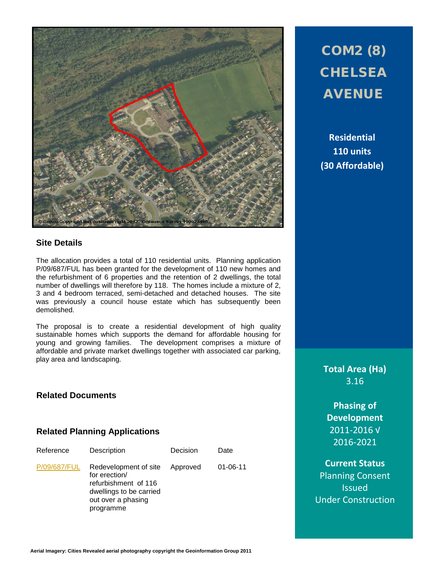

# COM2 (8) **CHELSEA** AVENUE

**Residential 110 units (30 Affordable)**

#### **Site Details**

The allocation provides a total of 110 residential units. Planning application P/09/687/FUL has been granted for the development of 110 new homes and the refurbishment of 6 properties and the retention of 2 dwellings, the total number of dwellings will therefore by 118. The homes include a mixture of 2, 3 and 4 bedroom terraced, semi-detached and detached houses. The site was previously a council house estate which has subsequently been demolished.

The proposal is to create a residential development of high quality sustainable homes which supports the demand for affordable housing for young and growing families. The development comprises a mixture of affordable and private market dwellings together with associated car parking, play area and landscaping.

#### **Related Documents**

#### **Related Planning Applications**

| Reference    | Description                                                                                                                  | Decision | Date           |
|--------------|------------------------------------------------------------------------------------------------------------------------------|----------|----------------|
| P/09/687/FUL | Redevelopment of site<br>for erection/<br>refurbishment of 116<br>dwellings to be carried<br>out over a phasing<br>programme | Approved | $01 - 06 - 11$ |

**Total Area (Ha)** 3.16

**Phasing of Development** 2011-2016 √ 2016-2021

**Current Status** Planning Consent **Issued** Under Construction